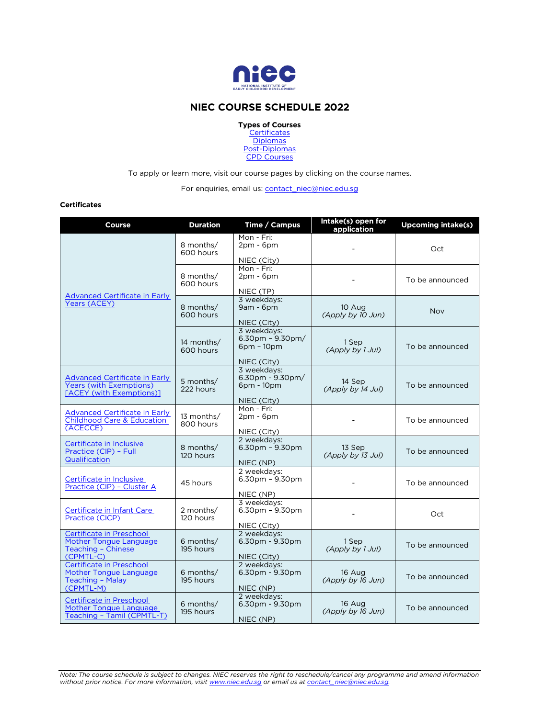

# **NIEC COURSE SCHEDULE 2022**

**Types of Courses** 

**[Certificates](#page-0-0) [Diplomas](#page-1-0)** [Post-Diplomas](#page-1-1) [CPD Courses](#page-2-0)

To apply or learn more, visit our course pages by clicking on the course names.

For enquiries, email us: contact\_niec@niec.edu.sg

## <span id="page-0-0"></span>**Certificates**

| Course                                                                                             | <b>Duration</b>          | Time / Campus                                                            | Intake(s) open for<br>application | <b>Upcoming intake(s)</b> |
|----------------------------------------------------------------------------------------------------|--------------------------|--------------------------------------------------------------------------|-----------------------------------|---------------------------|
|                                                                                                    | 8 months/<br>600 hours   | Mon - Fri:<br>$2pm - 6pm$                                                |                                   | Oct                       |
|                                                                                                    | 8 months/<br>600 hours   | NIEC (City)<br>Mon - Fri:<br>$2pm - 6pm$<br>NIEC (TP)                    |                                   | To be announced           |
| <b>Advanced Certificate in Early</b><br>Years (ACEY)                                               | 8 months/<br>600 hours   | 3 weekdays:<br>9am - 6pm<br>NIEC (City)                                  | 10 Aug<br>(Apply by 10 Jun)       | <b>Nov</b>                |
|                                                                                                    | 14 months/<br>600 hours  | 3 weekdavs:<br>$6.30$ pm - $9.30$ pm/<br>$6$ pm - $10$ pm<br>NIEC (City) | 1 Sep<br>(Apply by 1 Jul)         | To be announced           |
| <b>Advanced Certificate in Early</b><br><b>Years (with Exemptions)</b><br>[ACEY (with Exemptions)] | 5 months/<br>222 hours   | 3 weekdays:<br>$6.30$ pm - $9.30$ pm/<br>6pm - 10pm<br>NIEC (City)       | 14 Sep<br>(Apply by 14 Jul)       | To be announced           |
| <b>Advanced Certificate in Early</b><br><b>Childhood Care &amp; Education</b><br>(ACECCE)          | 13 months/<br>800 hours  | Mon - Fri:<br>$2pm - 6pm$<br>NIEC (City)                                 |                                   | To be announced           |
| Certificate in Inclusive<br>Practice (CIP) - Full<br>Qualification                                 | 8 months/<br>120 hours   | 2 weekdavs:<br>$6.30$ pm - $9.30$ pm<br>NIEC (NP)                        | 13 Sep<br>(Apply by 13 Jul)       | To be announced           |
| Certificate in Inclusive<br>Practice (CIP) - Cluster A                                             | 45 hours                 | 2 weekdays:<br>$6.30pm - 9.30pm$<br>NIEC (NP)                            |                                   | To be announced           |
| Certificate in Infant Care<br>Practice (CICP)                                                      | 2 months/<br>120 hours   | 3 weekdays:<br>$6.30$ pm - $9.30$ pm<br>NIEC (City)                      |                                   | Oct                       |
| Certificate in Preschool<br>Mother Tongue Language<br>Teaching - Chinese<br>$(CPMTL-C)$            | 6 months/<br>195 hours   | 2 weekdavs:<br>6.30pm - 9.30pm<br>NIEC (City)                            | 1 Sep<br>(Apply by 1 Jul)         | To be announced           |
| Certificate in Preschool<br>Mother Tongue Language<br>Teaching - Malay<br>(CPMTL-M)                | 6 months/<br>195 hours   | 2 weekdays:<br>6.30pm - 9.30pm<br>NIEC (NP)                              | 16 Aug<br>(Apply by 16 Jun)       | To be announced           |
| Certificate in Preschool<br>Mother Tongue Language<br>Teaching - Tamil (CPMTL-T)                   | $6$ months/<br>195 hours | 2 weekdays:<br>6.30pm - 9.30pm<br>NIEC (NP)                              | 16 Aug<br>(Apply by 16 Jun)       | To be announced           |

Note: The course schedule is subject to changes. NIEC reserves the right to reschedule/cancel any programme and amend information<br>without prior notice. For more information, visit <u>www.niec.edu.sg</u> or email us at <u>contact\_</u>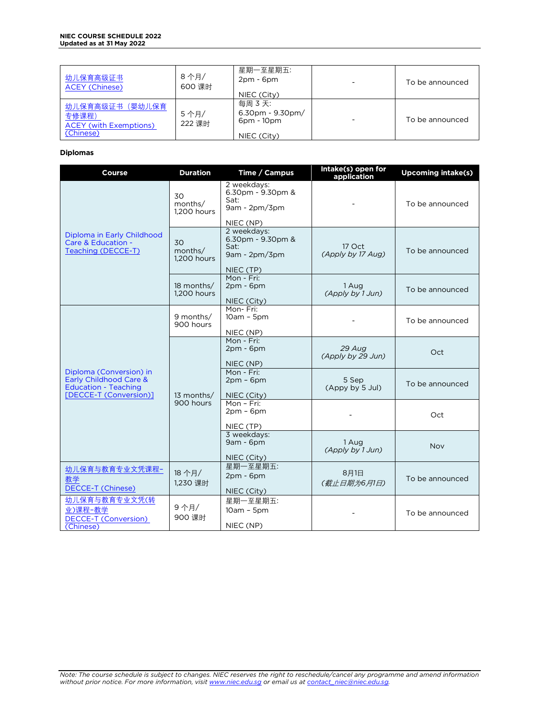#### **NIEC COURSE SCHEDULE 2022 Updated as at 31 May 2022**

| 幼儿保育高级证书<br><b>ACEY (Chinese)</b>                                     | 8 个月/<br>600 课时 | 星期一至星期五:<br>$2pm - 6pm$<br>NIEC (City)                               | $\overline{\phantom{0}}$ | To be announced |
|-----------------------------------------------------------------------|-----------------|----------------------------------------------------------------------|--------------------------|-----------------|
| 幼儿保育高级证书(婴幼儿保育<br>专修课程)<br><b>ACEY</b> (with Exemptions)<br>(Chinese) | 5个月/<br>222 课时  | 每周 3 天:<br>$6.30$ pm - $9.30$ pm/<br>$6$ pm - $10$ pm<br>NIEC (City) |                          | To be announced |

# <span id="page-1-0"></span>**Diplomas**

<span id="page-1-1"></span>

| Course                                                                                                            | <b>Duration</b>              | Time / Campus                                                            | Intake(s) open for<br>application | <b>Upcoming intake(s)</b> |
|-------------------------------------------------------------------------------------------------------------------|------------------------------|--------------------------------------------------------------------------|-----------------------------------|---------------------------|
|                                                                                                                   | 30<br>months/<br>1,200 hours | 2 weekdays:<br>6.30pm - 9.30pm &<br>Sat:<br>$9am - 2pm/3pm$<br>NIEC (NP) |                                   | To be announced           |
| Diploma in Early Childhood<br>Care & Education -<br>Teaching (DECCE-T)                                            | 30<br>months/<br>1.200 hours | 2 weekdays:<br>6.30pm - 9.30pm &<br>Sat:<br>$9am - 2pm/3pm$<br>NIEC (TP) | 17 Oct<br>(Apply by 17 Aug)       | To be announced           |
|                                                                                                                   | 18 months/<br>1.200 hours    | Mon - Fri:<br>$2pm - 6pm$<br>NIEC (City)                                 | 1 Aug<br>(Apply by 1 Jun)         | To be announced           |
|                                                                                                                   | 9 months/<br>900 hours       | Mon-Fri:<br>$10am - 5pm$<br>NIEC (NP)                                    |                                   | To be announced           |
|                                                                                                                   | 13 months/<br>900 hours      | Mon - Fri:<br>$2pm - 6pm$<br>NIEC (NP)                                   | 29 Aug<br>(Apply by 29 Jun)       | Oct                       |
| Diploma (Conversion) in<br>Early Childhood Care &<br><b>Education - Teaching</b><br><b>IDECCE-T (Conversion)1</b> |                              | Mon - Fri:<br>$2pm - 6pm$<br>NIEC (City)                                 | 5 Sep<br>(Appy by 5 Jul)          | To be announced           |
|                                                                                                                   |                              | Mon - Fri:<br>$2pm - 6pm$<br>NIEC (TP)                                   |                                   | Oct                       |
|                                                                                                                   |                              | 3 weekdays:<br>$9am - 6pm$<br>NIEC (City)                                | 1 Aug<br>(Apply by 1 Jun)         | Nov                       |
| 幼儿保育与教育专业文凭课程-<br>教学<br><b>DECCE-T (Chinese)</b>                                                                  | 18 个月/<br>1,230 课时           | 星期一至星期五:<br>$2pm - 6pm$<br>NIEC (City)                                   | 8月1日<br>(截止日期为6月1日)               | To be announced           |
| 幼儿保育与教育专业文凭(转<br>业)课程-教学<br><b>DECCE-T (Conversion)</b><br>(Chinese)                                              | 9个月/<br>900 课时               | 星期一至星期五:<br>$10am - 5pm$<br>NIEC (NP)                                    |                                   | To be announced           |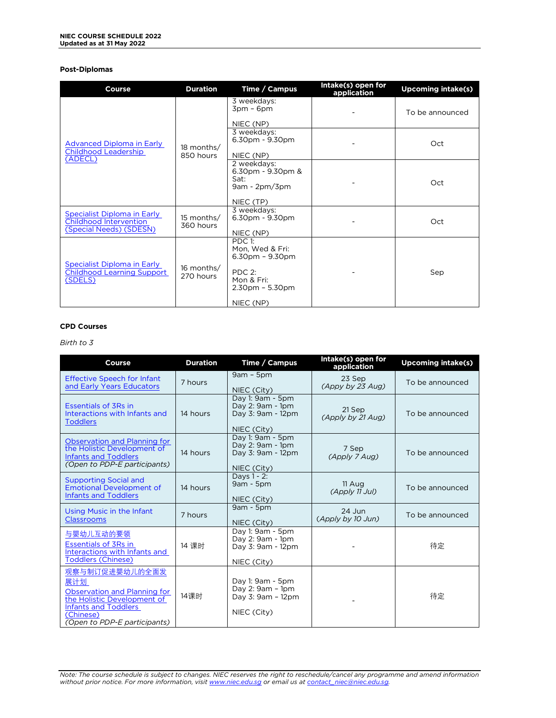## **Post-Diplomas**

| Course                                                                           | <b>Duration</b>         | Time / Campus                                                                               | Intake(s) open for<br>application | <b>Upcoming intake(s)</b> |
|----------------------------------------------------------------------------------|-------------------------|---------------------------------------------------------------------------------------------|-----------------------------------|---------------------------|
|                                                                                  | 18 months/<br>850 hours | 3 weekdays:<br>$3pm - 6pm$<br>NIEC (NP)                                                     |                                   | To be announced           |
| Advanced Diploma in Early<br>Childhood Leadership                                |                         | 3 weekdays:<br>$6.30pm - 9.30pm$<br>NIEC (NP)                                               |                                   | Oct                       |
| (ADECL)                                                                          |                         | 2 weekdays:<br>$6.30$ pm - $9.30$ pm &<br>Sat:<br>$9am - 2pm/3pm$<br>NIEC (TP)              |                                   | Oct                       |
| Specialist Diploma in Early<br>Childhood Intervention<br>(Special Needs) (SDESN) | 15 months/<br>360 hours | 3 weekdays:<br>6.30pm - 9.30pm<br>NIEC (NP)                                                 |                                   | Oct                       |
| Specialist Diploma in Early<br><b>Childhood Learning Support</b><br>(SDELS)      | 16 months/<br>270 hours | PDC 1:<br>Mon, Wed & Fri:<br>$6.30pm - 9.30pm$<br>PDC 2:<br>Mon & Fri:<br>$2.30pm - 5.30pm$ |                                   | Sep                       |
|                                                                                  |                         | NIEC (NP)                                                                                   |                                   |                           |

## <span id="page-2-0"></span>**CPD Courses**

## *Birth to 3*

| Course                                                                                                                                                           | <b>Duration</b> | Time / Campus                                                            | Intake(s) open for<br>application | <b>Upcoming intake(s)</b> |
|------------------------------------------------------------------------------------------------------------------------------------------------------------------|-----------------|--------------------------------------------------------------------------|-----------------------------------|---------------------------|
| <b>Effective Speech for Infant</b><br>and Early Years Educators                                                                                                  | 7 hours         | $9am - 5pm$<br>NIEC (City)                                               | 23 Sep<br>$(A$ ppy by 23 Aug)     | To be announced           |
| <b>Essentials of 3Rs in</b><br>Interactions with Infants and<br><b>Toddlers</b>                                                                                  | 14 hours        | Day 1: 9am - 5pm<br>Day 2: 9am - 1pm<br>Day 3: 9am - 12pm<br>NIEC (City) | 21 Sep<br>(Apply by 21 Aug)       | To be announced           |
| Observation and Planning for<br>the Holistic Development of<br><b>Infants and Toddlers</b><br>(Open to PDP-E participants)                                       | 14 hours        | Day 1: 9am - 5pm<br>Day 2: 9am - 1pm<br>Day 3: 9am - 12pm<br>NIEC (City) | 7 Sep<br>(Apply 7 Aug)            | To be announced           |
| <b>Supporting Social and</b><br><b>Emotional Development of</b><br><b>Infants and Toddlers</b>                                                                   | 14 hours        | Davs 1 - 2:<br>$9am - 5pm$<br>NIEC (City)                                | 11 Aug<br>(Apply 11 Jul)          | To be announced           |
| Using Music in the Infant<br><b>Classrooms</b>                                                                                                                   | 7 hours         | $9am - 5pm$<br>NIEC (City)                                               | $24$ Jun<br>(Apply by 10 Jun)     | To be announced           |
| 与婴幼儿互动的要领<br><b>Essentials of 3Rs in</b><br>Interactions with Infants and<br>Toddlers (Chinese)                                                                  | 14 课时           | Day 1: 9am - 5pm<br>Day 2: 9am - 1pm<br>Day 3: 9am - 12pm<br>NIEC (City) |                                   | 待定                        |
| 观察与制订促进婴幼儿的全面发<br>展计划<br>Observation and Planning for<br>the Holistic Development of<br><b>Infants and Toddlers</b><br>(Chinese)<br>(Open to PDP-E participants) | 14课时            | Day 1: 9am - 5pm<br>Day 2: 9am - 1pm<br>Day 3: 9am - 12pm<br>NIEC (City) |                                   | 待定                        |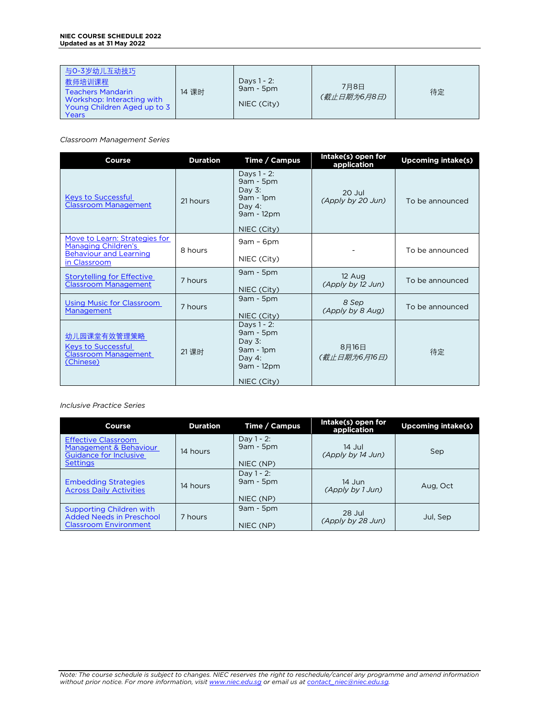#### **NIEC COURSE SCHEDULE 2022 Updated as at 31 May 2022**

| 与0-3岁幼儿互动技巧<br>教师培训课程<br>14 课时<br><b>Teachers Mandarin</b><br>Workshop: Interacting with<br>Young Children Aged up to 3<br>Years | Days 1 - 2:<br>$9am - 5pm$<br>NIEC (City) | 7月8日<br>(截止日期为6月8日) | 待定 |
|----------------------------------------------------------------------------------------------------------------------------------|-------------------------------------------|---------------------|----|
|----------------------------------------------------------------------------------------------------------------------------------|-------------------------------------------|---------------------|----|

*Classroom Management Series*

| <b>Course</b>                                                                        | <b>Duration</b> | Time / Campus                                                                  | Intake(s) open for<br>application | <b>Upcoming intake(s)</b> |
|--------------------------------------------------------------------------------------|-----------------|--------------------------------------------------------------------------------|-----------------------------------|---------------------------|
| <b>Keys to Successful</b><br><b>Classroom Management</b>                             | 21 hours        | Days 1 - 2:<br>9am - 5pm<br>Day $3$ :<br>$9am - 1pm$<br>Day 4:<br>9am - 12pm   | $20$ Jul<br>(Apply by 20 Jun)     | To be announced           |
|                                                                                      |                 | NIEC (City)                                                                    |                                   |                           |
| Move to Learn: Strategies for<br>Managing Children's                                 | 8 hours         | $9am - 6pm$                                                                    |                                   | To be announced           |
| <b>Behaviour and Learning</b><br>in Classroom                                        |                 | NIEC (City)                                                                    |                                   |                           |
| <b>Storytelling for Effective</b><br><b>Classroom Management</b>                     | 7 hours         | $9am - 5pm$                                                                    | 12 Aug<br>(Apply by 12 Jun)       | To be announced           |
|                                                                                      |                 | NIEC (City)                                                                    |                                   |                           |
| <b>Using Music for Classroom</b><br>Management                                       | 7 hours         | $9am - 5pm$                                                                    | 8 Sep<br>(Apply by 8 Aug)         | To be announced           |
|                                                                                      |                 | NIEC (City)                                                                    |                                   |                           |
| 幼儿园课堂有效管理策略<br><b>Keys to Successful</b><br><b>Classroom Management</b><br>(Chinese) | 21课时            | Days 1 - 2:<br>$9am - 5pm$<br>Day $3$ :<br>$9am - 1pm$<br>Day 4:<br>9am - 12pm | 8月16日<br>(截止日期为6月16日)             | 待定                        |
|                                                                                      |                 | NIEC (City)                                                                    |                                   |                           |

*Inclusive Practice Series*

| <b>Course</b>                                                                                     | <b>Duration</b> | Time / Campus                             | Intake(s) open for<br>application | Upcoming intake(s) |
|---------------------------------------------------------------------------------------------------|-----------------|-------------------------------------------|-----------------------------------|--------------------|
| <b>Effective Classroom</b><br>Management & Behaviour<br>Guidance for Inclusive<br><b>Settings</b> | 14 hours        | Day $1 - 2$ :<br>$9am - 5pm$<br>NIEC (NP) | 14 Jul<br>(Apply by 14 Jun)       | Sep                |
| <b>Embedding Strategies</b><br><b>Across Daily Activities</b>                                     | 14 hours        | Day $1 - 2$ :<br>$9am - 5pm$<br>NIEC (NP) | 14 Jun<br>(Apply by 1 Jun)        | Aug, Oct           |
| Supporting Children with<br><b>Added Needs in Preschool</b><br><b>Classroom Environment</b>       | 7 hours         | $9am - 5pm$<br>NIEC (NP)                  | 28 Jul<br>(Apply by 28 Jun)       | Jul, Sep           |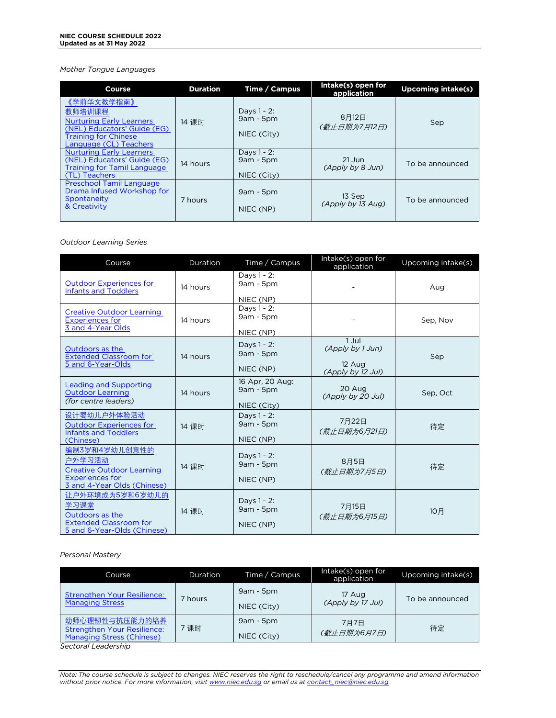#### *Mother Tongue Languages*

| Course                                                                                                                                          | <b>Duration</b> | Time / Campus                             | Intake(s) open for<br>application | <b>Upcoming intake(s)</b> |
|-------------------------------------------------------------------------------------------------------------------------------------------------|-----------------|-------------------------------------------|-----------------------------------|---------------------------|
| 《学前华文教学指南》<br>教师培训课程<br><b>Nurturing Early Learners</b><br>(NEL) Educators' Guide (EG)<br><b>Training for Chinese</b><br>Language (CL) Teachers | 14 课时           | Days 1 - 2:<br>$9am - 5pm$<br>NIEC (City) | 8月12日<br>(截止日期为7月12日)             | Sep                       |
| <b>Nurturing Early Learners</b><br>(NEL) Educators' Guide (EG)<br><b>Training for Tamil Language</b><br>(TL) Teachers                           | 14 hours        | Days 1 - 2:<br>$9am - 5pm$<br>NIEC (City) | $21$ Jun<br>(Apply by 8 Jun)      | To be announced           |
| Preschool Tamil Language<br>Drama Infused Workshop for<br>Spontaneity<br>& Creativity                                                           | 7 hours         | $9am - 5pm$<br>NIEC (NP)                  | 13 Sep<br>(Apply by 13 Aug)       | To be announced           |

### *Outdoor Learning Series*

| Course                                                                                                               | Duration | Time / Campus                                 | Intake(s) open for<br>application                        | Upcoming intake(s) |
|----------------------------------------------------------------------------------------------------------------------|----------|-----------------------------------------------|----------------------------------------------------------|--------------------|
| <b>Outdoor Experiences for</b><br><b>Infants and Toddlers</b>                                                        | 14 hours | Days 1 - 2:<br>9am - 5pm<br>NIEC (NP)         |                                                          | Aug                |
| <b>Creative Outdoor Learning</b><br><b>Experiences for</b><br>3 and 4-Year Olds                                      | 14 hours | Days 1 - 2:<br>9am - 5pm<br>NIEC (NP)         |                                                          | Sep, Nov           |
| Outdoors as the<br><b>Extended Classroom for</b><br>5 and 6-Year-Olds                                                | 14 hours | Days 1 - 2:<br>9am - 5pm<br>NIEC (NP)         | 1 Jul<br>(Apply by 1 Jun)<br>12 Aug<br>(Apply by 12 Jul) | Sep                |
| Leading and Supporting<br><b>Outdoor Learning</b><br>(for centre leaders)                                            | 14 hours | 16 Apr, 20 Aug:<br>$9am - 5pm$<br>NIEC (City) | 20 Aug<br>(Apply by 20 Jul)                              | Sep, Oct           |
| 设计婴幼儿户外体验活动<br><b>Outdoor Experiences for</b><br><b>Infants and Toddlers</b><br>(Chinese)                            | 14 课时    | Days 1 - 2:<br>9am - 5pm<br>NIEC (NP)         | 7月22日<br>(截止日期为6月21日)                                    | 待定                 |
| 编制3岁和4岁幼儿创意性的<br>户外学习活动<br><b>Creative Outdoor Learning</b><br><b>Experiences for</b><br>3 and 4-Year Olds (Chinese) | 14 课时    | Days 1 - 2:<br>9am - 5pm<br>NIEC (NP)         | 8月5日<br>(截止日期为7月5日)                                      | 待定                 |
| 让户外环境成为5岁和6岁幼儿的<br>学习课堂<br>Outdoors as the<br><b>Extended Classroom for</b><br>5 and 6-Year-Olds (Chinese)           | 14 课时    | Days 1 - 2:<br>$9am - 5pm$<br>NIEC (NP)       | 7月15日<br>(截止日期为6月15日)                                    | 10月                |

### *Personal Mastery*

| Course                                                          | Duration | Time / Campus | Intake(s) open for<br>application | Upcoming intake(s) |
|-----------------------------------------------------------------|----------|---------------|-----------------------------------|--------------------|
| Strengthen Your Resilience:                                     | 7 hours  | $9am - 5pm$   | 17 Aug                            | To be announced    |
| <b>Managing Stress</b>                                          |          | NIEC (City)   | (Apply by 17 Jul)                 |                    |
| 幼师心理韧性与抗压能力的培养                                                  | '课时      | $9am - 5pm$   | 7月7日                              | 待定                 |
| <b>Strengthen Your Resilience:</b><br>Managing Stress (Chinese) |          | NIEC (City)   | (截止日期为6月7日)                       |                    |

*Sectoral Leadership*

Note: The course schedule is subject to changes. NIEC reserves the right to reschedule/cancel any programme and amend information<br>without prior notice. For more information, visit <u>www.niec.edu.sg</u> or email us at <u>contact\_</u>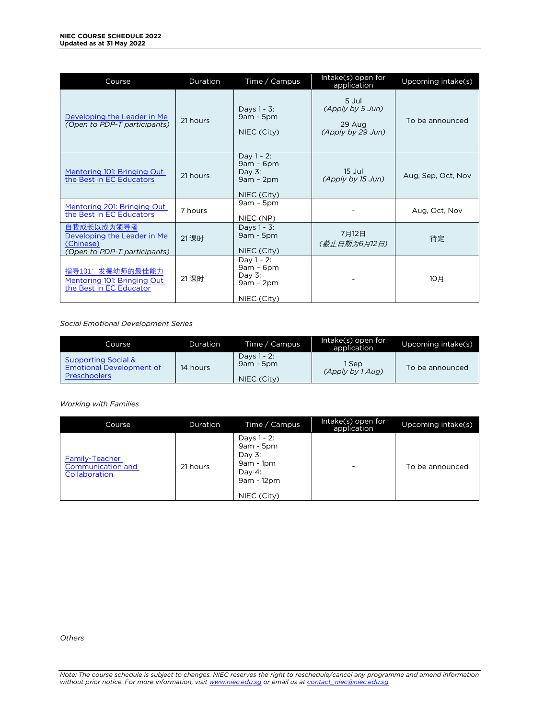| Course                                                                                        | Duration | Time / Campus                                                           | Intake(s) open for<br>application                        | Upcoming intake(s) |
|-----------------------------------------------------------------------------------------------|----------|-------------------------------------------------------------------------|----------------------------------------------------------|--------------------|
| Developing the Leader in Me<br>(Open to PDP-T participants)                                   | 21 hours | Days 1 - 3:<br>$9am - 5pm$<br>NIEC (City)                               | 5 Jul<br>(Apply by 5 Jun)<br>29 Aug<br>(Apply by 29 Jun) | To be announced    |
| Mentoring 101: Bringing Out<br>the Best in EC Educators                                       | 21 hours | Day $1 - 2$ :<br>$9am - 6pm$<br>Day $3$ :<br>$9am - 2pm$<br>NIEC (City) | 15 Jul<br>(Apply by 15 Jun)                              | Aug, Sep, Oct, Nov |
| Mentoring 201: Bringing Out<br>the Best in EC Educators                                       | 7 hours  | $9am - 5pm$<br>NIEC (NP)                                                |                                                          | Aug, Oct, Nov      |
| 自我成长以成为领导者<br>Developing the Leader in Me<br>(Chinese)<br><i>(Open to PDP-T participants)</i> | 21 课时    | Days 1 - 3:<br>$9am - 5pm$<br>NIEC (City)                               | 7月12日<br>(截止日期为6月12日)                                    | 待定                 |
| 指导101: 发掘幼师的最佳能力<br>Mentoring 101: Bringing Out<br>the Best in EC Educator                    | 21 课时    | Day $1 - 2$ :<br>$9am - 6pm$<br>Day $3$ :<br>$9am - 2pm$<br>NIEC (City) |                                                          | 10月                |

*Social Emotional Development Series*

| Course                                                     | Duration | Time / Campus              | Intake(s) open for<br>application | Upcoming intake(s) |
|------------------------------------------------------------|----------|----------------------------|-----------------------------------|--------------------|
| <b>Supporting Social &amp;</b><br>Emotional Development of | 14 hours | Days 1 - 2:<br>$9am - 5pm$ | 1 Sep<br>(Apply by 1 Aug)         | To be announced    |
| <b>Preschoolers</b>                                        |          | NIEC (City)                |                                   |                    |

*Working with Families*

| Course                                               | Duration | Time / Campus                                                                                 | Intake(s) open for<br>application | Upcoming intake(s) |
|------------------------------------------------------|----------|-----------------------------------------------------------------------------------------------|-----------------------------------|--------------------|
| Family-Teacher<br>Communication and<br>Collaboration | 21 hours | Days 1 - 2:<br>$9am - 5pm$<br>Day $3$ :<br>$9am - 1pm$<br>Day 4:<br>9am - 12pm<br>NIEC (City) | -                                 | To be announced    |

*Others*